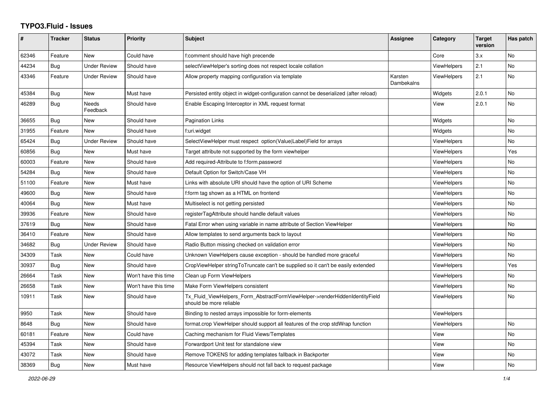## **TYPO3.Fluid - Issues**

| #     | <b>Tracker</b> | <b>Status</b>       | <b>Priority</b>      | Subject                                                                                                | Assignee              | Category           | <b>Target</b><br>version | Has patch      |
|-------|----------------|---------------------|----------------------|--------------------------------------------------------------------------------------------------------|-----------------------|--------------------|--------------------------|----------------|
| 62346 | Feature        | <b>New</b>          | Could have           | f:comment should have high precende                                                                    |                       | Core               | 3.x                      | N <sub>o</sub> |
| 44234 | <b>Bug</b>     | <b>Under Review</b> | Should have          | selectViewHelper's sorting does not respect locale collation                                           |                       | ViewHelpers        | 2.1                      | No             |
| 43346 | Feature        | <b>Under Review</b> | Should have          | Allow property mapping configuration via template                                                      | Karsten<br>Dambekalns | <b>ViewHelpers</b> | 2.1                      | No             |
| 45384 | Bug            | <b>New</b>          | Must have            | Persisted entity object in widget-configuration cannot be deserialized (after reload)                  |                       | Widgets            | 2.0.1                    | No             |
| 46289 | Bug            | Needs<br>Feedback   | Should have          | Enable Escaping Interceptor in XML request format                                                      |                       | View               | 2.0.1                    | No             |
| 36655 | Bug            | New                 | Should have          | Pagination Links                                                                                       |                       | Widgets            |                          | No             |
| 31955 | Feature        | <b>New</b>          | Should have          | f:uri.widget                                                                                           |                       | Widgets            |                          | No             |
| 65424 | Bug            | <b>Under Review</b> | Should have          | SelectViewHelper must respect option(Value Label)Field for arrays                                      |                       | <b>ViewHelpers</b> |                          | No             |
| 60856 | <b>Bug</b>     | New                 | Must have            | Target attribute not supported by the form viewhelper                                                  |                       | ViewHelpers        |                          | Yes            |
| 60003 | Feature        | New                 | Should have          | Add required-Attribute to f:form.password                                                              |                       | <b>ViewHelpers</b> |                          | No             |
| 54284 | Bug            | <b>New</b>          | Should have          | Default Option for Switch/Case VH                                                                      |                       | <b>ViewHelpers</b> |                          | No             |
| 51100 | Feature        | <b>New</b>          | Must have            | Links with absolute URI should have the option of URI Scheme                                           |                       | <b>ViewHelpers</b> |                          | No             |
| 49600 | Bug            | New                 | Should have          | f:form tag shown as a HTML on frontend                                                                 |                       | <b>ViewHelpers</b> |                          | No             |
| 40064 | Bug            | New                 | Must have            | Multiselect is not getting persisted                                                                   |                       | <b>ViewHelpers</b> |                          | No             |
| 39936 | Feature        | New                 | Should have          | registerTagAttribute should handle default values                                                      |                       | ViewHelpers        |                          | No             |
| 37619 | Bug            | <b>New</b>          | Should have          | Fatal Error when using variable in name attribute of Section ViewHelper                                |                       | <b>ViewHelpers</b> |                          | No             |
| 36410 | Feature        | <b>New</b>          | Should have          | Allow templates to send arguments back to layout                                                       |                       | <b>ViewHelpers</b> |                          | No             |
| 34682 | Bug            | <b>Under Review</b> | Should have          | Radio Button missing checked on validation error                                                       |                       | ViewHelpers        |                          | No             |
| 34309 | Task           | New                 | Could have           | Unknown ViewHelpers cause exception - should be handled more graceful                                  |                       | <b>ViewHelpers</b> |                          | No             |
| 30937 | <b>Bug</b>     | New                 | Should have          | CropViewHelper stringToTruncate can't be supplied so it can't be easily extended                       |                       | ViewHelpers        |                          | Yes            |
| 26664 | Task           | New                 | Won't have this time | Clean up Form ViewHelpers                                                                              |                       | <b>ViewHelpers</b> |                          | No             |
| 26658 | Task           | New                 | Won't have this time | Make Form ViewHelpers consistent                                                                       |                       | <b>ViewHelpers</b> |                          | No             |
| 10911 | Task           | New                 | Should have          | Tx Fluid ViewHelpers Form AbstractFormViewHelper->renderHiddenIdentityField<br>should be more reliable |                       | <b>ViewHelpers</b> |                          | No.            |
| 9950  | Task           | New                 | Should have          | Binding to nested arrays impossible for form-elements                                                  |                       | <b>ViewHelpers</b> |                          |                |
| 8648  | <b>Bug</b>     | New                 | Should have          | format.crop ViewHelper should support all features of the crop stdWrap function                        |                       | <b>ViewHelpers</b> |                          | No             |
| 60181 | Feature        | New                 | Could have           | Caching mechanism for Fluid Views/Templates                                                            |                       | View               |                          | No             |
| 45394 | Task           | <b>New</b>          | Should have          | Forwardport Unit test for standalone view                                                              |                       | View               |                          | No             |
| 43072 | Task           | New                 | Should have          | Remove TOKENS for adding templates fallback in Backporter                                              |                       | View               |                          | No             |
| 38369 | <b>Bug</b>     | New                 | Must have            | Resource ViewHelpers should not fall back to request package                                           |                       | View               |                          | No.            |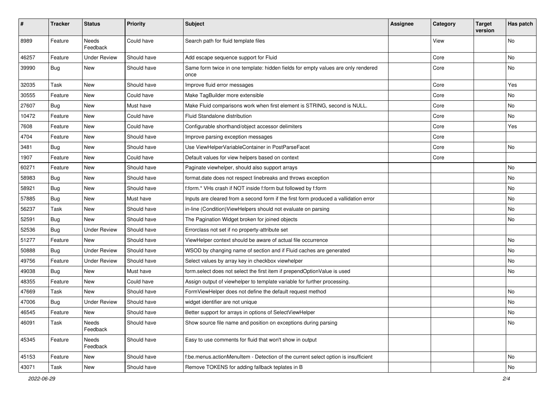| $\sharp$ | <b>Tracker</b> | <b>Status</b>       | <b>Priority</b> | Subject                                                                                   | <b>Assignee</b> | Category | <b>Target</b><br>version | Has patch |
|----------|----------------|---------------------|-----------------|-------------------------------------------------------------------------------------------|-----------------|----------|--------------------------|-----------|
| 8989     | Feature        | Needs<br>Feedback   | Could have      | Search path for fluid template files                                                      |                 | View     |                          | <b>No</b> |
| 46257    | Feature        | <b>Under Review</b> | Should have     | Add escape sequence support for Fluid                                                     |                 | Core     |                          | No        |
| 39990    | Bug            | New                 | Should have     | Same form twice in one template: hidden fields for empty values are only rendered<br>once |                 | Core     |                          | No        |
| 32035    | Task           | New                 | Should have     | Improve fluid error messages                                                              |                 | Core     |                          | Yes       |
| 30555    | Feature        | New                 | Could have      | Make TagBuilder more extensible                                                           |                 | Core     |                          | No        |
| 27607    | Bug            | New                 | Must have       | Make Fluid comparisons work when first element is STRING, second is NULL.                 |                 | Core     |                          | No        |
| 10472    | Feature        | New                 | Could have      | Fluid Standalone distribution                                                             |                 | Core     |                          | No        |
| 7608     | Feature        | New                 | Could have      | Configurable shorthand/object accessor delimiters                                         |                 | Core     |                          | Yes       |
| 4704     | Feature        | New                 | Should have     | Improve parsing exception messages                                                        |                 | Core     |                          |           |
| 3481     | Bug            | New                 | Should have     | Use ViewHelperVariableContainer in PostParseFacet                                         |                 | Core     |                          | No        |
| 1907     | Feature        | New                 | Could have      | Default values for view helpers based on context                                          |                 | Core     |                          |           |
| 60271    | Feature        | New                 | Should have     | Paginate viewhelper, should also support arrays                                           |                 |          |                          | No        |
| 58983    | <b>Bug</b>     | New                 | Should have     | format.date does not respect linebreaks and throws exception                              |                 |          |                          | No        |
| 58921    | Bug            | New                 | Should have     | f:form.* VHs crash if NOT inside f:form but followed by f:form                            |                 |          |                          | No        |
| 57885    | Bug            | New                 | Must have       | Inputs are cleared from a second form if the first form produced a vallidation error      |                 |          |                          | No        |
| 56237    | Task           | New                 | Should have     | in-line (Condition) ViewHelpers should not evaluate on parsing                            |                 |          |                          | No        |
| 52591    | Bug            | New                 | Should have     | The Pagination Widget broken for joined objects                                           |                 |          |                          | <b>No</b> |
| 52536    | Bug            | <b>Under Review</b> | Should have     | Errorclass not set if no property-attribute set                                           |                 |          |                          |           |
| 51277    | Feature        | New                 | Should have     | ViewHelper context should be aware of actual file occurrence                              |                 |          |                          | No        |
| 50888    | Bug            | <b>Under Review</b> | Should have     | WSOD by changing name of section and if Fluid caches are generated                        |                 |          |                          | No        |
| 49756    | Feature        | <b>Under Review</b> | Should have     | Select values by array key in checkbox viewhelper                                         |                 |          |                          | No        |
| 49038    | Bug            | New                 | Must have       | form.select does not select the first item if prependOptionValue is used                  |                 |          |                          | <b>No</b> |
| 48355    | Feature        | New                 | Could have      | Assign output of viewhelper to template variable for further processing.                  |                 |          |                          |           |
| 47669    | Task           | New                 | Should have     | FormViewHelper does not define the default request method                                 |                 |          |                          | <b>No</b> |
| 47006    | Bug            | <b>Under Review</b> | Should have     | widget identifier are not unique                                                          |                 |          |                          | No        |
| 46545    | Feature        | New                 | Should have     | Better support for arrays in options of SelectViewHelper                                  |                 |          |                          | No        |
| 46091    | Task           | Needs<br>Feedback   | Should have     | Show source file name and position on exceptions during parsing                           |                 |          |                          | No        |
| 45345    | Feature        | Needs<br>Feedback   | Should have     | Easy to use comments for fluid that won't show in output                                  |                 |          |                          |           |
| 45153    | Feature        | New                 | Should have     | f:be.menus.actionMenuItem - Detection of the current select option is insufficient        |                 |          |                          | No        |
| 43071    | Task           | New                 | Should have     | Remove TOKENS for adding fallback teplates in B                                           |                 |          |                          | No        |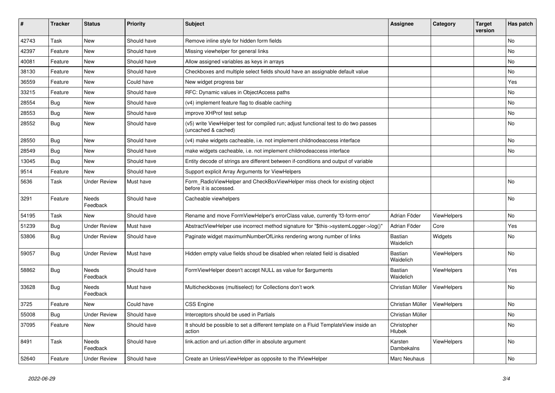| #     | <b>Tracker</b> | <b>Status</b>            | <b>Priority</b> | <b>Subject</b>                                                                                              | Assignee                    | Category           | <b>Target</b><br>version | Has patch |
|-------|----------------|--------------------------|-----------------|-------------------------------------------------------------------------------------------------------------|-----------------------------|--------------------|--------------------------|-----------|
| 42743 | Task           | <b>New</b>               | Should have     | Remove inline style for hidden form fields                                                                  |                             |                    |                          | <b>No</b> |
| 42397 | Feature        | New                      | Should have     | Missing viewhelper for general links                                                                        |                             |                    |                          | <b>No</b> |
| 40081 | Feature        | New                      | Should have     | Allow assigned variables as keys in arrays                                                                  |                             |                    |                          | No        |
| 38130 | Feature        | <b>New</b>               | Should have     | Checkboxes and multiple select fields should have an assignable default value                               |                             |                    |                          | No        |
| 36559 | Feature        | New                      | Could have      | New widget progress bar                                                                                     |                             |                    |                          | Yes       |
| 33215 | Feature        | New                      | Should have     | RFC: Dynamic values in ObjectAccess paths                                                                   |                             |                    |                          | No        |
| 28554 | Bug            | New                      | Should have     | (v4) implement feature flag to disable caching                                                              |                             |                    |                          | No        |
| 28553 | <b>Bug</b>     | New                      | Should have     | improve XHProf test setup                                                                                   |                             |                    |                          | <b>No</b> |
| 28552 | Bug            | <b>New</b>               | Should have     | (v5) write ViewHelper test for compiled run; adjust functional test to do two passes<br>(uncached & cached) |                             |                    |                          | No        |
| 28550 | Bug            | New                      | Should have     | (v4) make widgets cacheable, i.e. not implement childnodeaccess interface                                   |                             |                    |                          | No        |
| 28549 | Bug            | New                      | Should have     | make widgets cacheable, i.e. not implement childnodeaccess interface                                        |                             |                    |                          | No        |
| 13045 | <b>Bug</b>     | New                      | Should have     | Entity decode of strings are different between if-conditions and output of variable                         |                             |                    |                          |           |
| 9514  | Feature        | New                      | Should have     | Support explicit Array Arguments for ViewHelpers                                                            |                             |                    |                          |           |
| 5636  | Task           | <b>Under Review</b>      | Must have       | Form RadioViewHelper and CheckBoxViewHelper miss check for existing object<br>before it is accessed.        |                             |                    |                          | No        |
| 3291  | Feature        | Needs<br>Feedback        | Should have     | Cacheable viewhelpers                                                                                       |                             |                    |                          | <b>No</b> |
| 54195 | Task           | New                      | Should have     | Rename and move FormViewHelper's errorClass value, currently 'f3-form-error'                                | Adrian Föder                | <b>ViewHelpers</b> |                          | <b>No</b> |
| 51239 | Bug            | <b>Under Review</b>      | Must have       | AbstractViewHelper use incorrect method signature for "\$this->systemLogger->log()"                         | Adrian Föder                | Core               |                          | Yes       |
| 53806 | <b>Bug</b>     | <b>Under Review</b>      | Should have     | Paginate widget maximumNumberOfLinks rendering wrong number of links                                        | Bastian<br>Waidelich        | Widgets            |                          | No        |
| 59057 | <b>Bug</b>     | <b>Under Review</b>      | Must have       | Hidden empty value fields shoud be disabled when related field is disabled                                  | <b>Bastian</b><br>Waidelich | ViewHelpers        |                          | No        |
| 58862 | Bug            | Needs<br>Feedback        | Should have     | FormViewHelper doesn't accept NULL as value for \$arguments                                                 | <b>Bastian</b><br>Waidelich | <b>ViewHelpers</b> |                          | Yes       |
| 33628 | Bug            | <b>Needs</b><br>Feedback | Must have       | Multicheckboxes (multiselect) for Collections don't work                                                    | Christian Müller            | <b>ViewHelpers</b> |                          | <b>No</b> |
| 3725  | Feature        | New                      | Could have      | <b>CSS Engine</b>                                                                                           | Christian Müller            | ViewHelpers        |                          | No        |
| 55008 | Bug            | Under Review             | Should have     | Interceptors should be used in Partials                                                                     | Christian Müller            |                    |                          | No        |
| 37095 | Feature        | New                      | Should have     | It should be possible to set a different template on a Fluid TemplateView inside an<br>action               | Christopher<br>Hlubek       |                    |                          | No        |
| 8491  | Task           | Needs<br>Feedback        | Should have     | link.action and uri.action differ in absolute argument                                                      | Karsten<br>Dambekalns       | <b>ViewHelpers</b> |                          | <b>No</b> |
| 52640 | Feature        | <b>Under Review</b>      | Should have     | Create an Unless View Helper as opposite to the If View Helper                                              | Marc Neuhaus                |                    |                          | <b>No</b> |